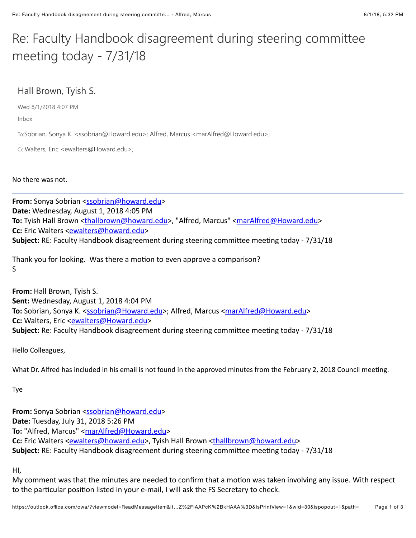## Re: Faculty Handbook disagreement during steering committee meeting today -  $7/31/18$

## Hall Brown, Tyish S.

Wed 8/1/2018 4:07 PM

Inbox

To:Sobrian, Sonya K. <ssobrian@Howard.edu>; Alfred, Marcus <marAlfred@Howard.edu>;

Cc:Walters, Eric <ewalters@Howard.edu>;

No there was not.

From: Sonya Sobrian [<ssobrian@howard.edu>](mailto:ssobrian@howard.edu) **Date:** Wednesday, August 1, 2018 4:05 PM To: Tyish Hall Brown [<thallbrown@howard.edu>](mailto:thallbrown@howard.edu), "Alfred, Marcus" [<marAlfred@Howard.edu](mailto:marAlfred@Howard.edu)> **Cc:** Eric Walters <**[ewalters@howard.edu>](mailto:ewalters@howard.edu) Subject:** RE: Faculty Handbook disagreement during steering committee meeting today - 7/31/18

Thank you for looking. Was there a motion to even approve a comparison? S

**From: Hall Brown, Tyish S. Sent:** Wednesday, August 1, 2018 4:04 PM **To:** Sobrian, Sonya K. <[ssobrian@Howard.edu](mailto:ssobrian@Howard.edu)>; Alfred, Marcus [<marAlfred@Howard.edu](mailto:marAlfred@Howard.edu)> **Cc:** Walters, Eric <**[ewalters@Howard.edu>](mailto:ewalters@Howard.edu) Subject:** Re: Faculty Handbook disagreement during steering committee meeting today - 7/31/18

Hello Colleagues,

What Dr. Alfred has included in his email is not found in the approved minutes from the February 2, 2018 Council meeting.

Tye

**From:** Sonya Sobrian [<ssobrian@howard.edu>](mailto:ssobrian@howard.edu) **Date:** Tuesday, July 31, 2018 5:26 PM To: "Alfred, Marcus" [<marAlfred@Howard.edu>](mailto:marAlfred@Howard.edu) Cc: Eric Walters <**[ewalters@howard.edu>](mailto:ewalters@howard.edu)**, Tyish Hall Brown [<thallbrown@howard.edu>](mailto:thallbrown@howard.edu) **Subject:** RE: Faculty Handbook disagreement during steering committee meeting today - 7/31/18

HI,

My comment was that the minutes are needed to confirm that a motion was taken involving any issue. With respect to the particular position listed in your e-mail, I will ask the FS Secretary to check.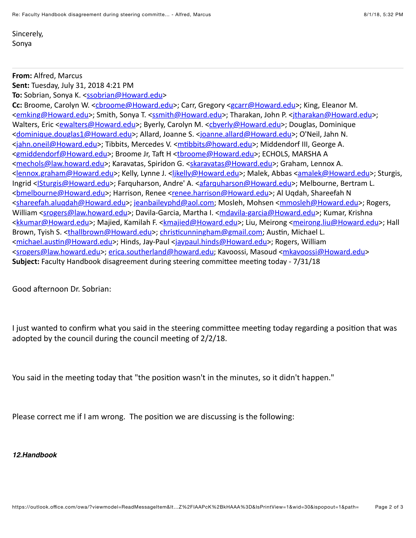Sincerely, Sonya

## **From: Alfred, Marcus**

**Sent:** Tuesday, July 31, 2018 4:21 PM **To:** Sobrian, Sonya K. <[ssobrian@Howard.edu](mailto:ssobrian@Howard.edu)>

Cc: Broome, Carolyn W. <[cbroome@Howard.edu>](mailto:cbroome@Howard.edu); Carr, Gregory <[gcarr@Howard.edu](mailto:gcarr@Howard.edu)>; King, Eleanor M. <[emking@Howard.edu](mailto:emking@Howard.edu)>; Smith, Sonya T. [<ssmith@Howard.edu>](mailto:ssmith@Howard.edu); Tharakan, John P. <itharakan@Howard.edu>; Walters, Eric <[ewalters@Howard.edu>](mailto:ewalters@Howard.edu); Byerly, Carolyn M. <[cbyerly@Howard.edu>](mailto:cbyerly@Howard.edu); Douglas, Dominique <[dominique.douglas1@Howard.edu](mailto:dominique.douglas1@Howard.edu)>; Allard, Joanne S. <[joanne.allard@Howard.edu](mailto:joanne.allard@Howard.edu)>; O'Neil, Jahn N. <[jahn.oneil@Howard.edu>](mailto:jahn.oneil@Howard.edu); Tibbits, Mercedes V. <mtibbits@howard.edu>; Middendorf III, George A. <[gmiddendorf@Howard.edu>](mailto:gmiddendorf@Howard.edu); Broome Jr, Taft H <[tbroome@Howard.edu>](mailto:tbroome@Howard.edu); ECHOLS, MARSHA A <[mechols@law.howard.edu](mailto:mechols@law.howard.edu)>; Karavatas, Spiridon G. <[skaravatas@Howard.edu>](mailto:skaravatas@Howard.edu); Graham, Lennox A. <[lennox.graham@Howard.edu](mailto:lennox.graham@Howard.edu)>; Kelly, Lynne J. <[ljkelly@Howard.edu>](mailto:ljkelly@Howard.edu); Malek, Abbas [<amalek@Howard.edu](mailto:amalek@Howard.edu)>; Sturgis, Ingrid <[ISturgis@Howard.edu](mailto:ISturgis@Howard.edu)>; Farquharson, Andre' A. <[afarquharson@Howard.edu](mailto:afarquharson@Howard.edu)>; Melbourne, Bertram L. <br elbourne@Howard.edu>; Harrison, Renee [<renee.harrison@Howard.edu](mailto:renee.harrison@Howard.edu)>; Al Uqdah, Shareefah N <[shareefah.aluqdah@Howard.edu](mailto:shareefah.aluqdah@Howard.edu)>; jeanbaileyphd@aol.com; Mosleh, Mohsen <[mmosleh@Howard.edu>](mailto:mmosleh@Howard.edu); Rogers, William <[srogers@law.howard.edu>](mailto:srogers@law.howard.edu); Davila-Garcia, Martha I. <mdavila-garcia@Howard.edu>; Kumar, Krishna <[kkumar@Howard.edu](mailto:kkumar@Howard.edu)>; Majied, Kamilah F. [<kmajied@Howard.edu>](mailto:kmajied@Howard.edu); Liu, Meirong [<meirong.liu@Howard.edu](mailto:meirong.liu@Howard.edu)>; Hall Brown, Tyish S. <[thallbrown@Howard.edu](mailto:thallbrown@Howard.edu)>; christicunningham@gmail.com; Austin, Michael L. <michael.austin@Howard.edu>; Hinds, Jay-Paul [<jaypaul.hinds@Howard.edu](mailto:jaypaul.hinds@Howard.edu)>; Rogers, William <[srogers@law.howard.edu>](mailto:srogers@law.howard.edu); [erica.southerland@howard.edu;](mailto:erica.southerland@howard.edu) Kavoossi, Masoud [<mkavoossi@Howard.edu>](mailto:mkavoossi@Howard.edu) **Subject:** Faculty Handbook disagreement during steering committee meeting today - 7/31/18

Good afternoon Dr. Sobrian:

I just wanted to confirm what you said in the steering committee meeting today regarding a position that was adopted by the council during the council meeting of  $2/2/18$ .

You said in the meeting today that "the position wasn't in the minutes, so it didn't happen."

Please correct me if I am wrong. The position we are discussing is the following:

## *12.Handbook*